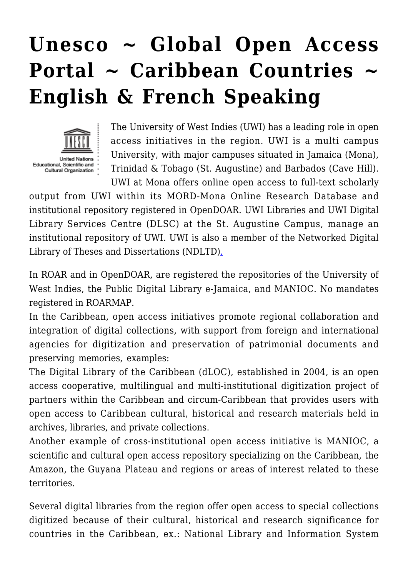## **[Unesco ~ Global Open Access](https://rozenbergquarterly.com/unesco-global-open-access-portal-caribbean-countries-english-french-speaking/) [Portal ~ Caribbean Countries ~](https://rozenbergquarterly.com/unesco-global-open-access-portal-caribbean-countries-english-french-speaking/) [English & French Speaking](https://rozenbergquarterly.com/unesco-global-open-access-portal-caribbean-countries-english-french-speaking/)**



The University of West Indies (UWI) has a leading role in open access initiatives in the region. UWI is a multi campus University, with major campuses situated in Jamaica (Mona), Trinidad & Tobago (St. Augustine) and Barbados (Cave Hill). UWI at Mona offers online open access to full-text scholarly

output from UWI within its MORD-Mona Online Research Database and institutional repository registered in OpenDOAR. UWI Libraries and UWI Digital Library Services Centre (DLSC) at the St. Augustine Campus, manage an institutional repository of UWI. UWI is also a member of the Networked Digital Library of Theses and Dissertations (NDLTD)[.](http://www.unesco.org/new/en/communication-and-information/portals-and-platforms/goap/key-organizations/latin-america-and-the-caribbean/ndltd/)

In ROAR and in OpenDOAR, are registered the repositories of the University of West Indies, the Public Digital Library e-Jamaica, and MANIOC. No mandates registered in ROARMAP.

In the Caribbean, open access initiatives promote regional collaboration and integration of digital collections, with support from foreign and international agencies for digitization and preservation of patrimonial documents and preserving memories, examples:

The Digital Library of the Caribbean (dLOC), established in 2004, is an open access cooperative, multilingual and multi-institutional digitization project of partners within the Caribbean and circum-Caribbean that provides users with open access to Caribbean cultural, historical and research materials held in archives, libraries, and private collections.

Another example of cross-institutional open access initiative is MANIOC, a scientific and cultural open access repository specializing on the Caribbean, the Amazon, the Guyana Plateau and regions or areas of interest related to these territories.

Several digital libraries from the region offer open access to special collections digitized because of their cultural, historical and research significance for countries in the Caribbean, ex.: National Library and Information System